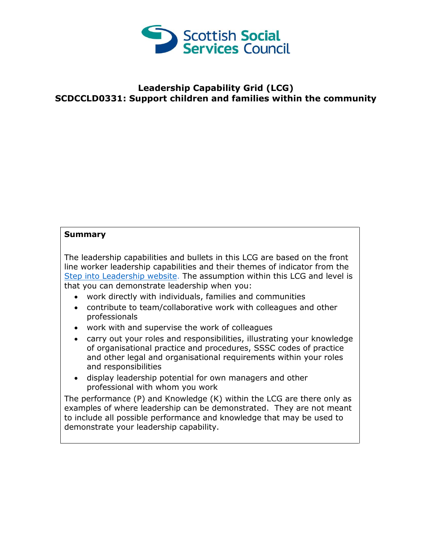

## **Leadership Capability Grid (LCG) SCDCCLD0331: Support children and families within the community**

## **Summary**

The leadership capabilities and bullets in this LCG are based on the front line worker leadership capabilities and their themes of indicator from the [Step into Leadership website.](http://www.stepintoleadership.info/) The assumption within this LCG and level is that you can demonstrate leadership when you:

- work directly with individuals, families and communities
- contribute to team/collaborative work with colleagues and other professionals
- work with and supervise the work of colleagues
- carry out your roles and responsibilities, illustrating your knowledge of organisational practice and procedures, SSSC codes of practice and other legal and organisational requirements within your roles and responsibilities
- display leadership potential for own managers and other professional with whom you work

The performance (P) and Knowledge (K) within the LCG are there only as examples of where leadership can be demonstrated. They are not meant to include all possible performance and knowledge that may be used to demonstrate your leadership capability.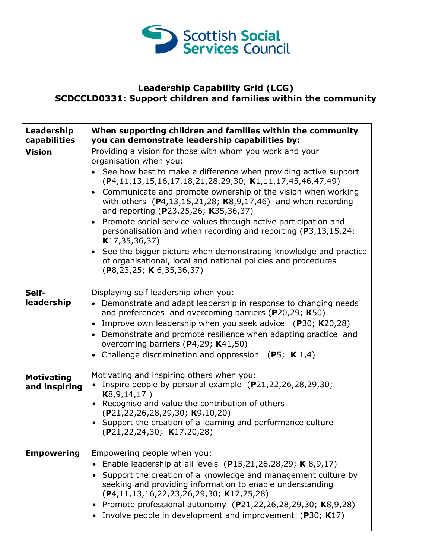

## **Leadership Capability Grid (LCG) SCDCCLD0331: Support children and families within the community**

| Leadership<br>capabilities         | When supporting children and families within the community<br>you can demonstrate leadership capabilities by:                                                                                                                                                                                                                                                                                                                                                                                                                                                                                                                                                                                                                                                       |
|------------------------------------|---------------------------------------------------------------------------------------------------------------------------------------------------------------------------------------------------------------------------------------------------------------------------------------------------------------------------------------------------------------------------------------------------------------------------------------------------------------------------------------------------------------------------------------------------------------------------------------------------------------------------------------------------------------------------------------------------------------------------------------------------------------------|
| <b>Vision</b>                      | Providing a vision for those with whom you work and your<br>organisation when you:<br>• See how best to make a difference when providing active support<br>$(P4, 11, 13, 15, 16, 17, 18, 21, 28, 29, 30; K1, 11, 17, 45, 46, 47, 49)$<br>• Communicate and promote ownership of the vision when working<br>with others $(P4, 13, 15, 21, 28; K8, 9, 17, 46)$ and when recording<br>and reporting (P23,25,26; K35,36,37)<br>Promote social service values through active participation and<br>$\bullet$<br>personalisation and when recording and reporting (P3,13,15,24;<br>K17, 35, 36, 37)<br>• See the bigger picture when demonstrating knowledge and practice<br>of organisational, local and national policies and procedures<br>(P8, 23, 25; K6, 35, 36, 37) |
| Self-<br>leadership                | Displaying self leadership when you:<br>• Demonstrate and adapt leadership in response to changing needs<br>and preferences and overcoming barriers (P20,29; K50)<br>Improve own leadership when you seek advice $(P30; K20,28)$<br>$\bullet$<br>• Demonstrate and promote resilience when adapting practice and<br>overcoming barriers (P4,29; K41,50)<br>• Challenge discrimination and oppression (P5; $K$ 1,4)                                                                                                                                                                                                                                                                                                                                                  |
| <b>Motivating</b><br>and inspiring | Motivating and inspiring others when you:<br>• Inspire people by personal example $(P21, 22, 26, 28, 29, 30;$<br>K8, 9, 14, 17)<br>• Recognise and value the contribution of others<br>(P21, 22, 26, 28, 29, 30; K9, 10, 20)<br>• Support the creation of a learning and performance culture<br>(P21, 22, 24, 30; K17, 20, 28)                                                                                                                                                                                                                                                                                                                                                                                                                                      |
| <b>Empowering</b>                  | Empowering people when you:<br>Enable leadership at all levels (P15,21,26,28,29; K 8,9,17)<br>Support the creation of a knowledge and management culture by<br>$\bullet$<br>seeking and providing information to enable understanding<br>$(P4, 11, 13, 16, 22, 23, 26, 29, 30; K17, 25, 28)$<br>Promote professional autonomy (P21,22,26,28,29,30; K8,9,28)<br>Involve people in development and improvement (P30; K17)                                                                                                                                                                                                                                                                                                                                             |